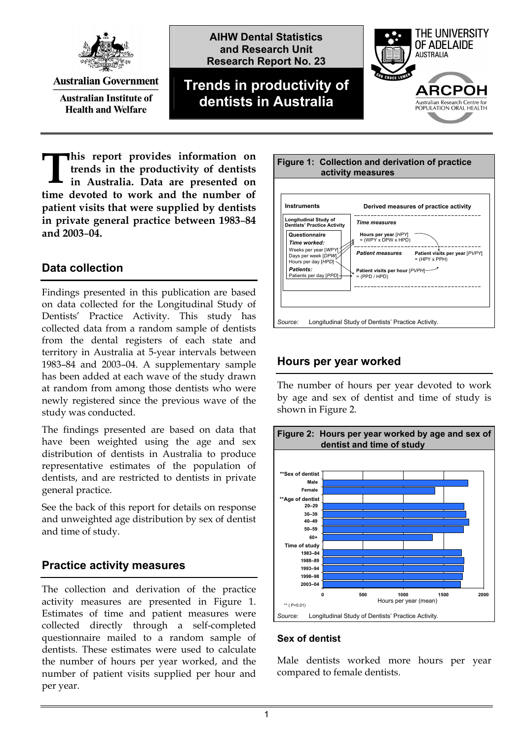

**Australian Government** 

**Australian Institute of Health and Welfare** 





**his report provides information on trends in the productivity of dentists in Australia. Data are presented on time devoted to work and the number of patient visits that were supplied by dentists in private general practice between 1983**–**84 and 2003**–**04. T**

## **Data collection**

Findings presented in this publication are based on data collected for the Longitudinal Study of Dentists' Practice Activity. This study has collected data from a random sample of dentists from the dental registers of each state and territory in Australia at 5-year intervals between 1983–84 and 2003–04. A supplementary sample has been added at each wave of the study drawn at random from among those dentists who were newly registered since the previous wave of the study was conducted.

The findings presented are based on data that have been weighted using the age and sex distribution of dentists in Australia to produce representative estimates of the population of dentists, and are restricted to dentists in private general practice.

See the back of this report for details on response and unweighted age distribution by sex of dentist and time of study.

### **Practice activity measures**

The collection and derivation of the practice activity measures are presented in Figure 1. Estimates of time and patient measures were collected directly through a self-completed questionnaire mailed to a random sample of dentists. These estimates were used to calculate the number of hours per year worked, and the number of patient visits supplied per hour and per year.



### **Hours per year worked**

The number of hours per year devoted to work by age and sex of dentist and time of study is shown in Figure 2.



#### **Sex of dentist**

Male dentists worked more hours per year compared to female dentists.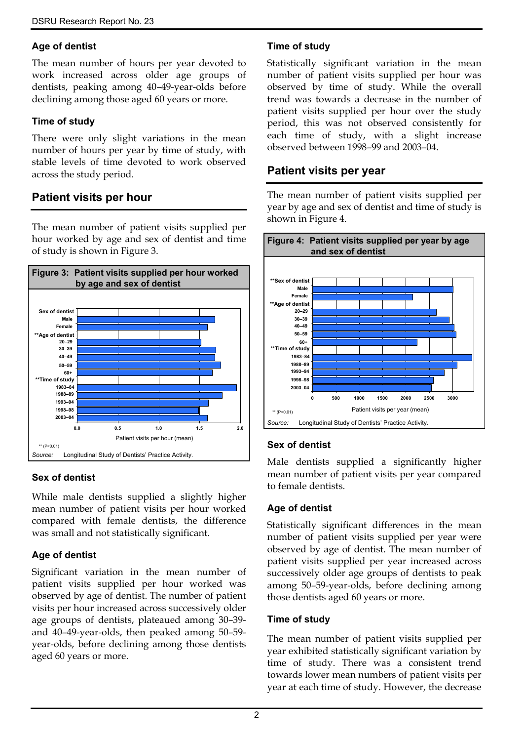#### **Age of dentist**

The mean number of hours per year devoted to work increased across older age groups of dentists, peaking among 40–49-year-olds before declining among those aged 60 years or more.

#### **Time of study**

There were only slight variations in the mean number of hours per year by time of study, with stable levels of time devoted to work observed across the study period.

# **Patient visits per hour**

The mean number of patient visits supplied per hour worked by age and sex of dentist and time of study is shown in Figure 3.



### **Sex of dentist**

While male dentists supplied a slightly higher mean number of patient visits per hour worked compared with female dentists, the difference was small and not statistically significant.

### **Age of dentist**

Significant variation in the mean number of patient visits supplied per hour worked was observed by age of dentist. The number of patient visits per hour increased across successively older age groups of dentists, plateaued among 30–39 and 40–49-year-olds, then peaked among 50–59 year-olds, before declining among those dentists aged 60 years or more.

### **Time of study**

Statistically significant variation in the mean number of patient visits supplied per hour was observed by time of study. While the overall trend was towards a decrease in the number of patient visits supplied per hour over the study period, this was not observed consistently for each time of study, with a slight increase observed between 1998–99 and 2003–04.

### **Patient visits per year**

The mean number of patient visits supplied per year by age and sex of dentist and time of study is shown in Figure 4.



### **Sex of dentist**

Male dentists supplied a significantly higher mean number of patient visits per year compared to female dentists.

### **Age of dentist**

Statistically significant differences in the mean number of patient visits supplied per year were observed by age of dentist. The mean number of patient visits supplied per year increased across successively older age groups of dentists to peak among 50–59-year-olds, before declining among those dentists aged 60 years or more.

### **Time of study**

The mean number of patient visits supplied per year exhibited statistically significant variation by time of study. There was a consistent trend towards lower mean numbers of patient visits per year at each time of study. However, the decrease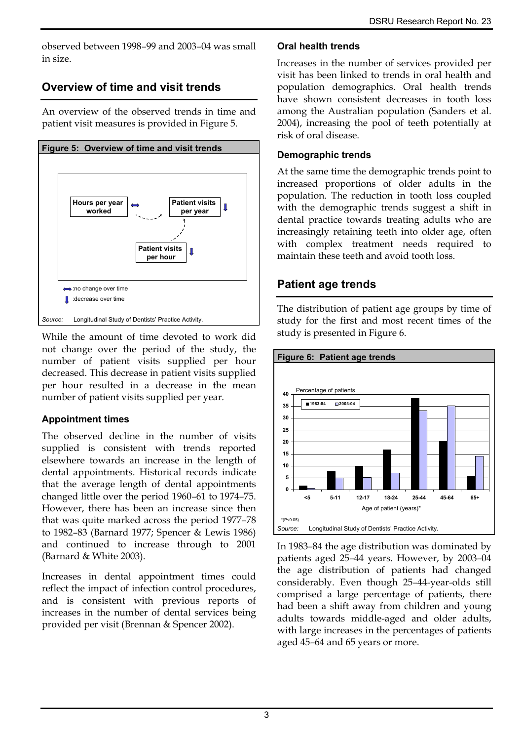observed between 1998–99 and 2003–04 was small in size.

# **Overview of time and visit trends**

An overview of the observed trends in time and patient visit measures is provided in Figure 5.



While the amount of time devoted to work did not change over the period of the study, the number of patient visits supplied per hour decreased. This decrease in patient visits supplied per hour resulted in a decrease in the mean number of patient visits supplied per year.

### **Appointment times**

The observed decline in the number of visits supplied is consistent with trends reported elsewhere towards an increase in the length of dental appointments. Historical records indicate that the average length of dental appointments changed little over the period 1960–61 to 1974–75. However, there has been an increase since then that was quite marked across the period 1977–78 to 1982–83 (Barnard 1977; Spencer & Lewis 1986) and continued to increase through to 2001 (Barnard & White 2003).

Increases in dental appointment times could reflect the impact of infection control procedures, and is consistent with previous reports of increases in the number of dental services being provided per visit (Brennan & Spencer 2002).

#### **Oral health trends**

Increases in the number of services provided per visit has been linked to trends in oral health and population demographics. Oral health trends have shown consistent decreases in tooth loss among the Australian population (Sanders et al. 2004), increasing the pool of teeth potentially at risk of oral disease.

#### **Demographic trends**

At the same time the demographic trends point to increased proportions of older adults in the population. The reduction in tooth loss coupled with the demographic trends suggest a shift in dental practice towards treating adults who are increasingly retaining teeth into older age, often with complex treatment needs required to maintain these teeth and avoid tooth loss.

# **Patient age trends**

The distribution of patient age groups by time of study for the first and most recent times of the study is presented in Figure 6.



In 1983–84 the age distribution was dominated by patients aged 25–44 years. However, by 2003–04 the age distribution of patients had changed considerably. Even though 25–44-year-olds still comprised a large percentage of patients, there had been a shift away from children and young adults towards middle-aged and older adults, with large increases in the percentages of patients aged 45–64 and 65 years or more.